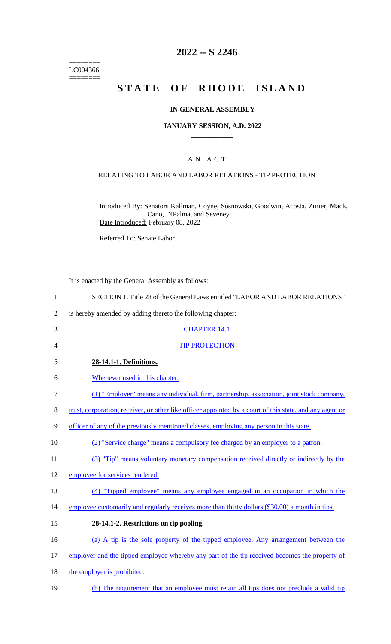======== LC004366  $=$ 

# **2022 -- S 2246**

# **STATE OF RHODE ISLAND**

#### **IN GENERAL ASSEMBLY**

#### **JANUARY SESSION, A.D. 2022 \_\_\_\_\_\_\_\_\_\_\_\_**

## A N A C T

## RELATING TO LABOR AND LABOR RELATIONS - TIP PROTECTION

Introduced By: Senators Kallman, Coyne, Sosnowski, Goodwin, Acosta, Zurier, Mack, Cano, DiPalma, and Seveney Date Introduced: February 08, 2022

Referred To: Senate Labor

It is enacted by the General Assembly as follows:

| $\mathbf{1}$   | SECTION 1. Title 28 of the General Laws entitled "LABOR AND LABOR RELATIONS"                             |
|----------------|----------------------------------------------------------------------------------------------------------|
| $\overline{2}$ | is hereby amended by adding thereto the following chapter:                                               |
| 3              | <b>CHAPTER 14.1</b>                                                                                      |
| $\overline{4}$ | <b>TIP PROTECTION</b>                                                                                    |
| 5              | 28-14.1-1. Definitions.                                                                                  |
| 6              | Whenever used in this chapter:                                                                           |
| $\tau$         | (1) "Employer" means any individual, firm, partnership, association, joint stock company,                |
| $8\,$          | trust, corporation, receiver, or other like officer appointed by a court of this state, and any agent or |
| 9              | officer of any of the previously mentioned classes, employing any person in this state.                  |
| 10             | (2) "Service charge" means a compulsory fee charged by an employer to a patron.                          |
| 11             | (3) "Tip" means voluntary monetary compensation received directly or indirectly by the                   |
| 12             | employee for services rendered.                                                                          |
| 13             | (4) "Tipped employee" means any employee engaged in an occupation in which the                           |
| 14             | employee customarily and regularly receives more than thirty dollars (\$30.00) a month in tips.          |
| 15             | 28-14.1-2. Restrictions on tip pooling.                                                                  |
| 16             | (a) A tip is the sole property of the tipped employee. Any arrangement between the                       |
| 17             | employer and the tipped employee whereby any part of the tip received becomes the property of            |
| 18             | the employer is prohibited.                                                                              |
| 19             | (b) The requirement that an employee must retain all tips does not preclude a valid tip                  |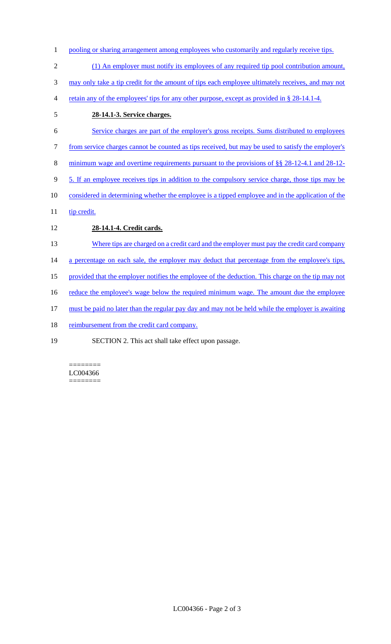- 1 pooling or sharing arrangement among employees who customarily and regularly receive tips.
- 2 (1) An employer must notify its employees of any required tip pool contribution amount,

3 may only take a tip credit for the amount of tips each employee ultimately receives, and may not

- 4 retain any of the employees' tips for any other purpose, except as provided in § 28-14.1-4.
- 5 **28-14.1-3. Service charges.**
- 6 Service charges are part of the employer's gross receipts. Sums distributed to employees 7 from service charges cannot be counted as tips received, but may be used to satisfy the employer's 8 minimum wage and overtime requirements pursuant to the provisions of §§ 28-12-4.1 and 28-12- 9 5. If an employee receives tips in addition to the compulsory service charge, those tips may be 10 considered in determining whether the employee is a tipped employee and in the application of the 11 tip credit. 12 **28-14.1-4. Credit cards.**
- 13 Where tips are charged on a credit card and the employer must pay the credit card company

14 a percentage on each sale, the employer may deduct that percentage from the employee's tips,

15 provided that the employer notifies the employee of the deduction. This charge on the tip may not

16 reduce the employee's wage below the required minimum wage. The amount due the employee

17 must be paid no later than the regular pay day and may not be held while the employer is awaiting

- 18 reimbursement from the credit card company.
- 19 SECTION 2. This act shall take effect upon passage.

======== LC004366 ========